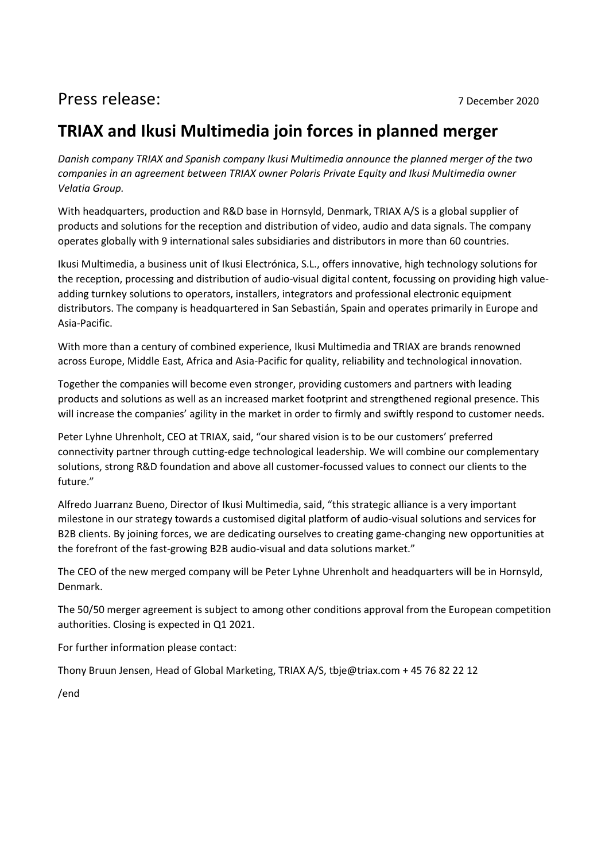## Press release: 7 December 2020

## **TRIAX and Ikusi Multimedia join forces in planned merger**

*Danish company TRIAX and Spanish company Ikusi Multimedia announce the planned merger of the two companies in an agreement between TRIAX owner Polaris Private Equity and Ikusi Multimedia owner Velatia Group.*

With headquarters, production and R&D base in Hornsyld, Denmark, TRIAX A/S is a global supplier of products and solutions for the reception and distribution of video, audio and data signals. The company operates globally with 9 international sales subsidiaries and distributors in more than 60 countries.

Ikusi Multimedia, a business unit of Ikusi Electrónica, S.L., offers innovative, high technology solutions for the reception, processing and distribution of audio-visual digital content, focussing on providing high valueadding turnkey solutions to operators, installers, integrators and professional electronic equipment distributors. The company is headquartered in San Sebastián, Spain and operates primarily in Europe and Asia-Pacific.

With more than a century of combined experience, Ikusi Multimedia and TRIAX are brands renowned across Europe, Middle East, Africa and Asia-Pacific for quality, reliability and technological innovation.

Together the companies will become even stronger, providing customers and partners with leading products and solutions as well as an increased market footprint and strengthened regional presence. This will increase the companies' agility in the market in order to firmly and swiftly respond to customer needs.

Peter Lyhne Uhrenholt, CEO at TRIAX, said, "our shared vision is to be our customers' preferred connectivity partner through cutting-edge technological leadership. We will combine our complementary solutions, strong R&D foundation and above all customer-focussed values to connect our clients to the future."

Alfredo Juarranz Bueno, Director of Ikusi Multimedia, said, "this strategic alliance is a very important milestone in our strategy towards a customised digital platform of audio-visual solutions and services for B2B clients. By joining forces, we are dedicating ourselves to creating game-changing new opportunities at the forefront of the fast-growing B2B audio-visual and data solutions market."

The CEO of the new merged company will be Peter Lyhne Uhrenholt and headquarters will be in Hornsyld, Denmark.

The 50/50 merger agreement is subject to among other conditions approval from the European competition authorities. Closing is expected in Q1 2021.

For further information please contact:

Thony Bruun Jensen, Head of Global Marketing, TRIAX A/S, tbje@triax.com + 45 76 82 22 12

/end